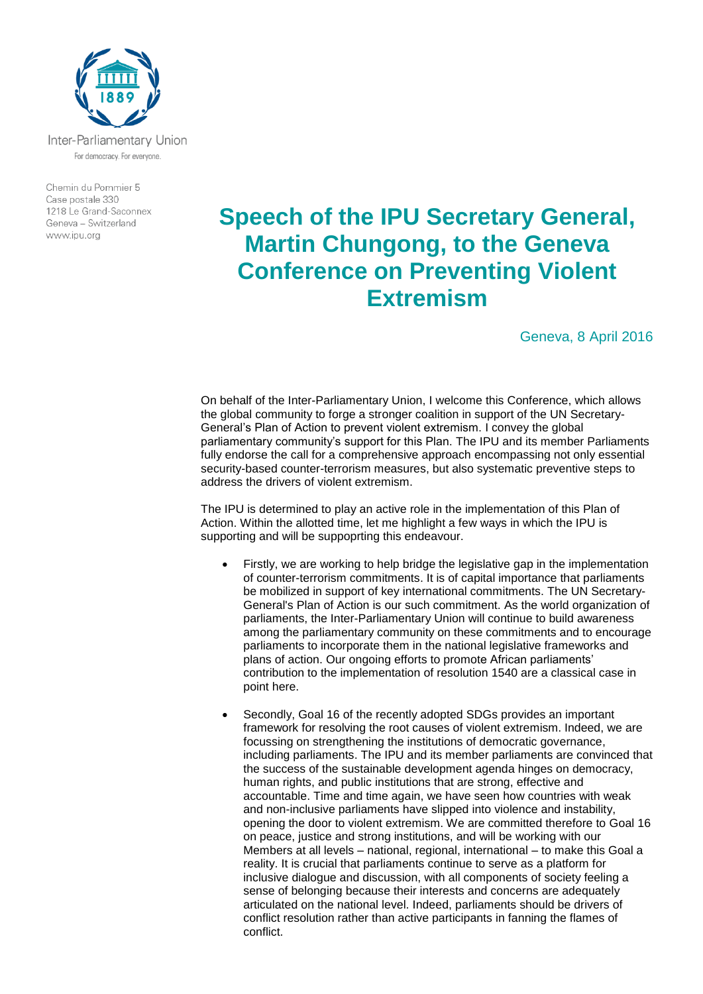

For democracy. For everyone.

Chemin du Pommier 5 Case postale 330 1218 Le Grand-Saconnex Geneva - Switzerland www.ipu.org

## **Speech of the IPU Secretary General, Martin Chungong, to the Geneva Conference on Preventing Violent Extremism**

Geneva, 8 April 2016

On behalf of the Inter-Parliamentary Union, I welcome this Conference, which allows the global community to forge a stronger coalition in support of the UN Secretary-General's Plan of Action to prevent violent extremism. I convey the global parliamentary community's support for this Plan. The IPU and its member Parliaments fully endorse the call for a comprehensive approach encompassing not only essential security-based counter-terrorism measures, but also systematic preventive steps to address the drivers of violent extremism.

The IPU is determined to play an active role in the implementation of this Plan of Action. Within the allotted time, let me highlight a few ways in which the IPU is supporting and will be suppoprting this endeavour.

- Firstly, we are working to help bridge the legislative gap in the implementation of counter-terrorism commitments. It is of capital importance that parliaments be mobilized in support of key international commitments. The UN Secretary-General's Plan of Action is our such commitment. As the world organization of parliaments, the Inter-Parliamentary Union will continue to build awareness among the parliamentary community on these commitments and to encourage parliaments to incorporate them in the national legislative frameworks and plans of action. Our ongoing efforts to promote African parliaments' contribution to the implementation of resolution 1540 are a classical case in point here.
- Secondly, Goal 16 of the recently adopted SDGs provides an important framework for resolving the root causes of violent extremism. Indeed, we are focussing on strengthening the institutions of democratic governance, including parliaments. The IPU and its member parliaments are convinced that the success of the sustainable development agenda hinges on democracy, human rights, and public institutions that are strong, effective and accountable. Time and time again, we have seen how countries with weak and non-inclusive parliaments have slipped into violence and instability, opening the door to violent extremism. We are committed therefore to Goal 16 on peace, justice and strong institutions, and will be working with our Members at all levels – national, regional, international – to make this Goal a reality. It is crucial that parliaments continue to serve as a platform for inclusive dialogue and discussion, with all components of society feeling a sense of belonging because their interests and concerns are adequately articulated on the national level. Indeed, parliaments should be drivers of conflict resolution rather than active participants in fanning the flames of conflict.